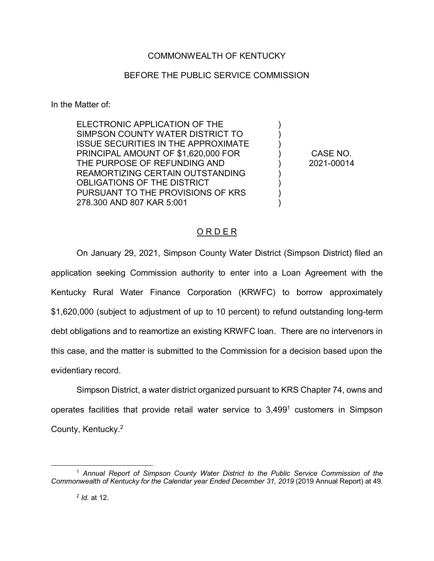## COMMONWEALTH OF KENTUCKY

## BEFORE THE PUBLIC SERVICE COMMISSION

In the Matter of:

ELECTRONIC APPLICATION OF THE SIMPSON COUNTY WATER DISTRICT TO ISSUE SECURITIES IN THE APPROXIMATE PRINCIPAL AMOUNT OF \$1,620,000 FOR THE PURPOSE OF REFUNDING AND REAMORTIZING CERTAIN OUTSTANDING OBLIGATIONS OF THE DISTRICT PURSUANT TO THE PROVISIONS OF KRS 278.300 AND 807 KAR 5:001

CASE NO. 2021-00014

)  $\lambda$ ) ) ) ) ) ) )

## O R D E R

On January 29, 2021, Simpson County Water District (Simpson District) filed an application seeking Commission authority to enter into a Loan Agreement with the Kentucky Rural Water Finance Corporation (KRWFC) to borrow approximately \$1,620,000 (subject to adjustment of up to 10 percent) to refund outstanding long-term debt obligations and to reamortize an existing KRWFC loan. There are no intervenors in this case, and the matter is submitted to the Commission for a decision based upon the evidentiary record.

Simpson District, a water district organized pursuant to KRS Chapter 74, owns and operates facilities that provide retail water service to 3,4991 customers in Simpson County, Kentucky.2

 <sup>1</sup> *Annual Report of Simpson County Water District to the Public Service Commission of the Commonwealth of Kentucky for the Calendar year Ended December 31, 2019* (2019 Annual Report) at 49.

<sup>2</sup> *Id.* at 12.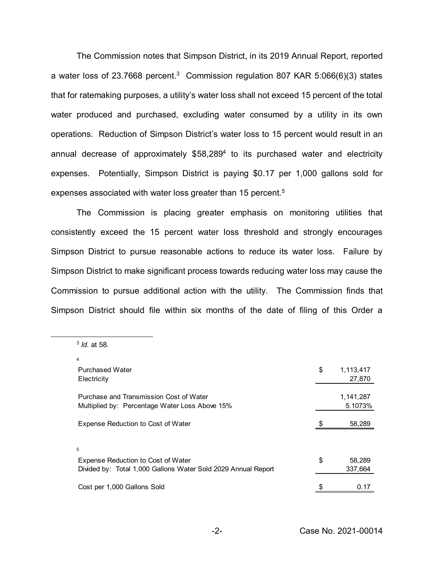The Commission notes that Simpson District, in its 2019 Annual Report, reported a water loss of 23.7668 percent.<sup>3</sup> Commission regulation 807 KAR 5:066(6)(3) states that for ratemaking purposes, a utility's water loss shall not exceed 15 percent of the total water produced and purchased, excluding water consumed by a utility in its own operations. Reduction of Simpson District's water loss to 15 percent would result in an annual decrease of approximately \$58,2894 to its purchased water and electricity expenses. Potentially, Simpson District is paying \$0.17 per 1,000 gallons sold for expenses associated with water loss greater than 15 percent.<sup>5</sup>

The Commission is placing greater emphasis on monitoring utilities that consistently exceed the 15 percent water loss threshold and strongly encourages Simpson District to pursue reasonable actions to reduce its water loss. Failure by Simpson District to make significant process towards reducing water loss may cause the Commission to pursue additional action with the utility. The Commission finds that Simpson District should file within six months of the date of filing of this Order a

3 *Id.* at 58.

| 4                                                             |                 |
|---------------------------------------------------------------|-----------------|
| <b>Purchased Water</b>                                        | \$<br>1,113,417 |
| Electricity                                                   | 27,870          |
|                                                               |                 |
| Purchase and Transmission Cost of Water                       | 1,141,287       |
| Multiplied by: Percentage Water Loss Above 15%                | 5.1073%         |
|                                                               |                 |
| Expense Reduction to Cost of Water                            | 58,289          |
|                                                               |                 |
| 5                                                             |                 |
| Expense Reduction to Cost of Water                            | \$<br>58.289    |
| Divided by: Total 1,000 Gallons Water Sold 2029 Annual Report | 337,664         |
|                                                               |                 |
| Cost per 1,000 Gallons Sold                                   | \$<br>0.17      |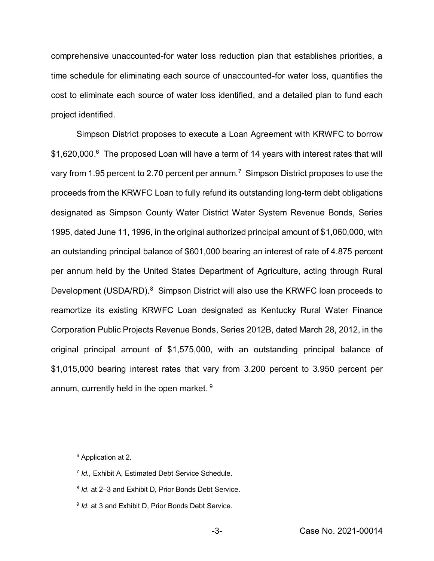comprehensive unaccounted-for water loss reduction plan that establishes priorities, a time schedule for eliminating each source of unaccounted-for water loss, quantifies the cost to eliminate each source of water loss identified, and a detailed plan to fund each project identified.

Simpson District proposes to execute a Loan Agreement with KRWFC to borrow \$1,620,000.<sup>6</sup> The proposed Loan will have a term of 14 years with interest rates that will vary from 1.95 percent to 2.70 percent per annum.<sup>7</sup> Simpson District proposes to use the proceeds from the KRWFC Loan to fully refund its outstanding long-term debt obligations designated as Simpson County Water District Water System Revenue Bonds, Series 1995, dated June 11, 1996, in the original authorized principal amount of \$1,060,000, with an outstanding principal balance of \$601,000 bearing an interest of rate of 4.875 percent per annum held by the United States Department of Agriculture, acting through Rural Development (USDA/RD).<sup>8</sup> Simpson District will also use the KRWFC loan proceeds to reamortize its existing KRWFC Loan designated as Kentucky Rural Water Finance Corporation Public Projects Revenue Bonds, Series 2012B, dated March 28, 2012, in the original principal amount of \$1,575,000, with an outstanding principal balance of \$1,015,000 bearing interest rates that vary from 3.200 percent to 3.950 percent per annum, currently held in the open market.<sup>9</sup>

 <sup>6</sup> Application at 2.

<sup>7</sup> *Id.,* Exhibit A, Estimated Debt Service Schedule.

<sup>8</sup> *Id*. at 2–3 and Exhibit D, Prior Bonds Debt Service.

<sup>&</sup>lt;sup>9</sup> *Id.* at 3 and Exhibit D, Prior Bonds Debt Service.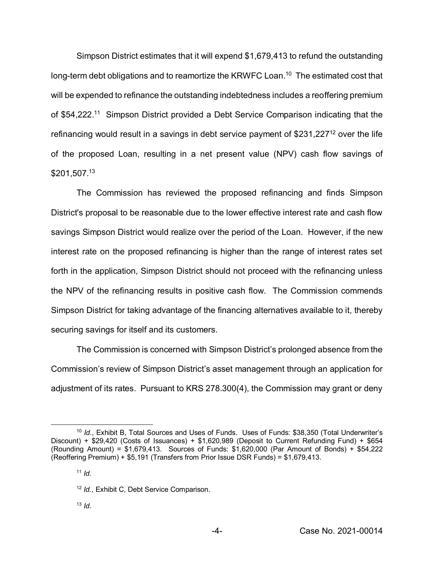Simpson District estimates that it will expend \$1,679,413 to refund the outstanding long-term debt obligations and to reamortize the KRWFC Loan.<sup>10</sup> The estimated cost that will be expended to refinance the outstanding indebtedness includes a reoffering premium of \$54,222.<sup>11</sup> Simpson District provided a Debt Service Comparison indicating that the refinancing would result in a savings in debt service payment of \$231,22712 over the life of the proposed Loan, resulting in a net present value (NPV) cash flow savings of \$201,507. 13

The Commission has reviewed the proposed refinancing and finds Simpson District's proposal to be reasonable due to the lower effective interest rate and cash flow savings Simpson District would realize over the period of the Loan. However, if the new interest rate on the proposed refinancing is higher than the range of interest rates set forth in the application, Simpson District should not proceed with the refinancing unless the NPV of the refinancing results in positive cash flow. The Commission commends Simpson District for taking advantage of the financing alternatives available to it, thereby securing savings for itself and its customers.

The Commission is concerned with Simpson District's prolonged absence from the Commission's review of Simpson District's asset management through an application for adjustment of its rates. Pursuant to KRS 278.300(4), the Commission may grant or deny

 <sup>10</sup> *Id*., Exhibit B, Total Sources and Uses of Funds. Uses of Funds: \$38,350 (Total Underwriter's Discount) + \$29,420 (Costs of Issuances) + \$1,620,989 (Deposit to Current Refunding Fund) + \$654 (Rounding Amount) =  $$1,679,413$ . Sources of Funds:  $$1,620,000$  (Par Amount of Bonds) +  $$54,222$ (Reoffering Premium) + \$5,191 (Transfers from Prior Issue DSR Funds) = \$1,679,413.

 $11$  *Id.* 

<sup>12</sup> *Id.*, Exhibit C, Debt Service Comparison.

<sup>13</sup> *Id*.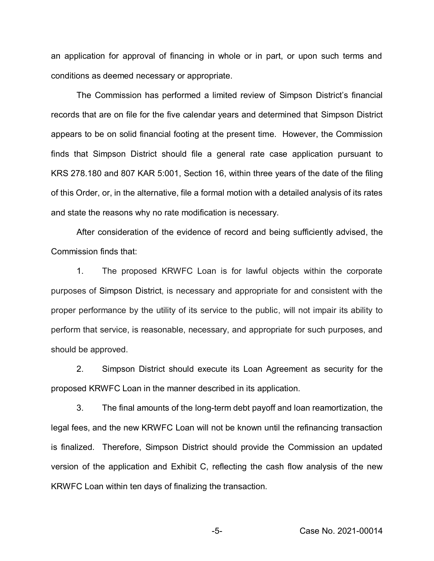an application for approval of financing in whole or in part, or upon such terms and conditions as deemed necessary or appropriate.

The Commission has performed a limited review of Simpson District's financial records that are on file for the five calendar years and determined that Simpson District appears to be on solid financial footing at the present time. However, the Commission finds that Simpson District should file a general rate case application pursuant to KRS 278.180 and 807 KAR 5:001, Section 16, within three years of the date of the filing of this Order, or, in the alternative, file a formal motion with a detailed analysis of its rates and state the reasons why no rate modification is necessary.

After consideration of the evidence of record and being sufficiently advised, the Commission finds that:

1. The proposed KRWFC Loan is for lawful objects within the corporate purposes of Simpson District, is necessary and appropriate for and consistent with the proper performance by the utility of its service to the public, will not impair its ability to perform that service, is reasonable, necessary, and appropriate for such purposes, and should be approved.

2. Simpson District should execute its Loan Agreement as security for the proposed KRWFC Loan in the manner described in its application.

3. The final amounts of the long-term debt payoff and loan reamortization, the legal fees, and the new KRWFC Loan will not be known until the refinancing transaction is finalized. Therefore, Simpson District should provide the Commission an updated version of the application and Exhibit C, reflecting the cash flow analysis of the new KRWFC Loan within ten days of finalizing the transaction.

-5- Case No. 2021-00014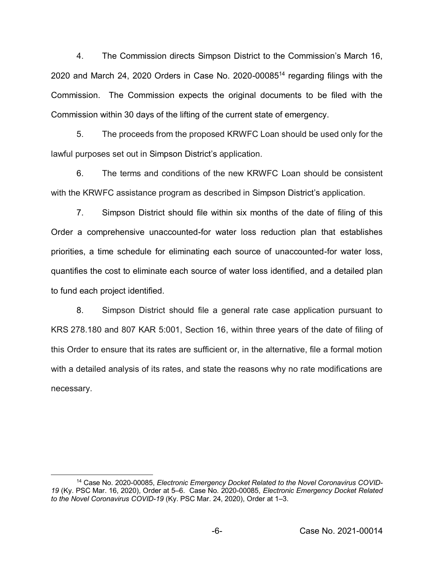4. The Commission directs Simpson District to the Commission's March 16, 2020 and March 24, 2020 Orders in Case No. 2020-0008514 regarding filings with the Commission. The Commission expects the original documents to be filed with the Commission within 30 days of the lifting of the current state of emergency.

5. The proceeds from the proposed KRWFC Loan should be used only for the lawful purposes set out in Simpson District's application.

6. The terms and conditions of the new KRWFC Loan should be consistent with the KRWFC assistance program as described in Simpson District's application.

7. Simpson District should file within six months of the date of filing of this Order a comprehensive unaccounted-for water loss reduction plan that establishes priorities, a time schedule for eliminating each source of unaccounted-for water loss, quantifies the cost to eliminate each source of water loss identified, and a detailed plan to fund each project identified.

8. Simpson District should file a general rate case application pursuant to KRS 278.180 and 807 KAR 5:001, Section 16, within three years of the date of filing of this Order to ensure that its rates are sufficient or, in the alternative, file a formal motion with a detailed analysis of its rates, and state the reasons why no rate modifications are necessary.

<sup>&</sup>lt;sup>14</sup> Case No. 2020-00085, *Electronic Emergency Docket Related to the Novel Coronavirus COVID-19* (Ky. PSC Mar. 16, 2020), Order at 5–6. Case No. 2020-00085, *Electronic Emergency Docket Related to the Novel Coronavirus COVID-19* (Ky. PSC Mar. 24, 2020), Order at 1–3.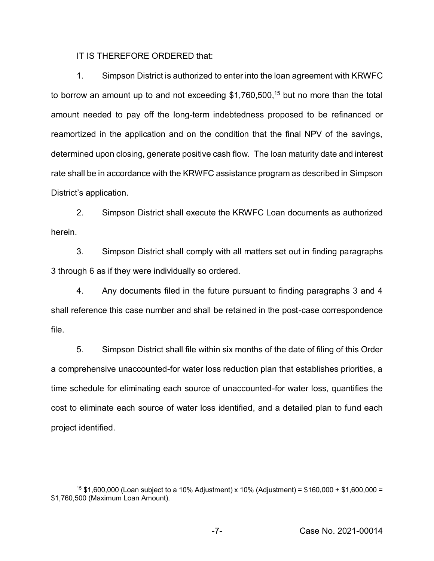IT IS THEREFORE ORDERED that:

1. Simpson District is authorized to enter into the loan agreement with KRWFC to borrow an amount up to and not exceeding \$1,760,500, <sup>15</sup> but no more than the total amount needed to pay off the long-term indebtedness proposed to be refinanced or reamortized in the application and on the condition that the final NPV of the savings, determined upon closing, generate positive cash flow. The loan maturity date and interest rate shall be in accordance with the KRWFC assistance program as described in Simpson District's application.

2. Simpson District shall execute the KRWFC Loan documents as authorized herein.

3. Simpson District shall comply with all matters set out in finding paragraphs 3 through 6 as if they were individually so ordered.

4. Any documents filed in the future pursuant to finding paragraphs 3 and 4 shall reference this case number and shall be retained in the post-case correspondence file.

5. Simpson District shall file within six months of the date of filing of this Order a comprehensive unaccounted-for water loss reduction plan that establishes priorities, a time schedule for eliminating each source of unaccounted-for water loss, quantifies the cost to eliminate each source of water loss identified, and a detailed plan to fund each project identified.

<sup>&</sup>lt;sup>15</sup> \$1,600,000 (Loan subject to a 10% Adjustment) x 10% (Adjustment) = \$160,000 + \$1,600,000 = \$1,760,500 (Maximum Loan Amount).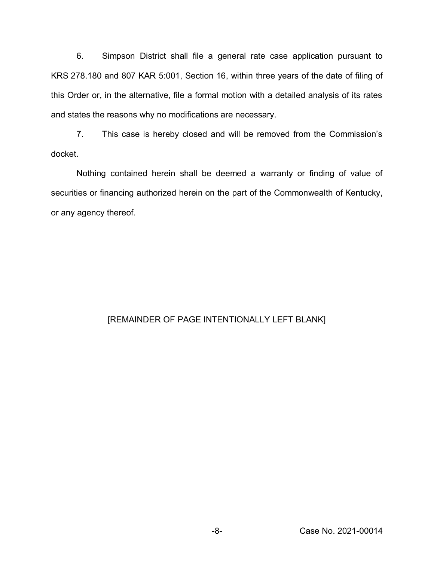6. Simpson District shall file a general rate case application pursuant to KRS 278.180 and 807 KAR 5:001, Section 16, within three years of the date of filing of this Order or, in the alternative, file a formal motion with a detailed analysis of its rates and states the reasons why no modifications are necessary.

7. This case is hereby closed and will be removed from the Commission's docket.

Nothing contained herein shall be deemed a warranty or finding of value of securities or financing authorized herein on the part of the Commonwealth of Kentucky, or any agency thereof.

## [REMAINDER OF PAGE INTENTIONALLY LEFT BLANK]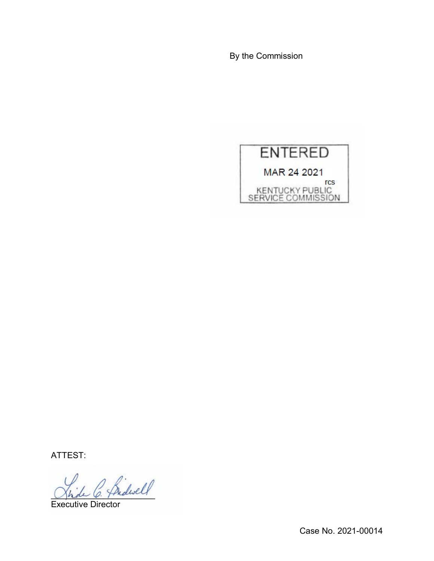By the Commission



ATTEST:

\_\_\_\_\_\_\_\_\_\_\_\_\_\_\_\_\_\_\_\_\_\_

Executive Director

Case No. 2021-00014